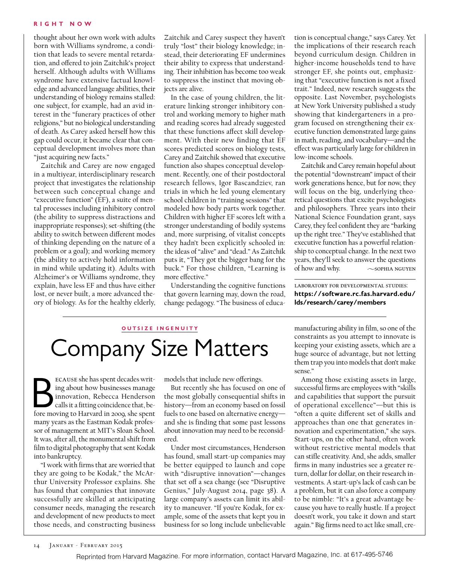## **Right Now**

thought about her own work with adults born with Williams syndrome, a condition that leads to severe mental retardation, and offered to join Zaitchik's project herself. Although adults with Williams syndrome have extensive factual knowledge and advanced language abilities, their understanding of biology remains stalled: one subject, for example, had an avid interest in the "funerary practices of other religions," but no biological understanding of death. As Carey asked herself how this gap could occur, it became clear that conceptual development involves more than "just acquiring new facts."

Zaitchik and Carey are now engaged in a multiyear, interdisciplinary research project that investigates the relationship between such conceptual change and "executive function" (EF), a suite of mental processes including inhibitory control (the ability to suppress distractions and inappropriate responses); set-shifting (the ability to switch between different modes of thinking depending on the nature of a problem or a goal); and working memory (the ability to actively hold information in mind while updating it). Adults with Alzheimer's or Williams syndrome, they explain, have less EF and thus have either lost, or never built, a more advanced theory of biology. As for the healthy elderly,

Zaitchik and Carey suspect they haven't truly "lost" their biology knowledge; instead, their deteriorating EF undermines their ability to express that understanding. Their inhibition has become too weak to suppress the instinct that moving objects are alive.

In the case of young children, the literature linking stronger inhibitory control and working memory to higher math and reading scores had already suggested that these functions affect skill development. With their new finding that EF scores predicted scores on biology tests, Carey and Zaitchik showed that executive function also shapes conceptual development. Recently, one of their postdoctoral research fellows, Igor Bascandziev, ran trials in which he led young elementary school children in "training sessions" that modeled how body parts work together. Children with higher EF scores left with a stronger understanding of bodily systems and, more surprising, of vitalist concepts they hadn't been explicitly schooled in: the ideas of "alive" and "dead." As Zaitchik puts it, "They got the bigger bang for the buck." For those children, "Learning is more effective."

Understanding the cognitive functions that govern learning may, down the road, change pedagogy. "The business of educa-

tion is conceptual change," says Carey. Yet the implications of their research reach beyond curriculum design. Children in higher-income households tend to have stronger EF, she points out, emphasizing that "executive function is not a fixed trait." Indeed, new research suggests the opposite. Last November, psychologists at New York University published a study showing that kindergarteners in a program focused on strengthening their executive function demonstrated large gains in math, reading, and vocabulary—and the effect was particularly large for children in low-income schools.

Zaitchik and Carey remain hopeful about the potential "downstream" impact of their work generations hence, but for now, they will focus on the big, underlying theoretical questions that excite psychologists and philosophers. Three years into their National Science Foundation grant, says Carey, they feel confident they are "barking up the right tree." They've established that executive function has a powerful relationship to conceptual change. In the next two years, they'll seek to answer the questions of how and why.  $\sim$  sophia nguyen

laboratory for developmental studies: **https://software.rc.fas.harvard.edu/ lds/research/carey/members**

## **outsize i n g e n uity** Company Size Matters

ECAUSE she has spent decades writing about how businesses manage innovation, Rebecca Henderson calls it a fitting coincidence that, before moving to Harvard in 2009, she spent ecause she has spent decades writing about how businesses manage innovation, Rebecca Henderson calls it a fitting coincidence that, bemany years as the Eastman Kodak professor of management at MIT's Sloan School. It was, after all, the monumental shift from film to digital photography that sent Kodak into bankruptcy.

"I work with firms that are worried that they are going to be Kodak," the McArthur University Professor explains. She has found that companies that innovate successfully are skilled at anticipating consumer needs, managing the research and development of new products to meet those needs, and constructing business

models that include new offerings.

But recently she has focused on one of the most globally consequential shifts in history—from an economy based on fossil fuels to one based on alternative energy and she is finding that some past lessons about innovation may need to be reconsidered.

Under most circumstances, Henderson has found, small start-up companies may be better equipped to launch and cope with "disruptive innovation"—changes that set off a sea change (see "Disruptive Genius," July-August 2014, page 38). A large company's assets can limit its ability to maneuver. "If you're Kodak, for example, some of the assets that kept you in business for so long include unbelievable

manufacturing ability in film, so one of the constraints as you attempt to innovate is keeping your existing assets, which are a huge source of advantage, but not letting them trap you into models that don't make sense."

Among those existing assets in large, successful firms are employees with "skills and capabilities that support the pursuit of operational excellence"—but this is "often a quite different set of skills and approaches than one that generates innovation and experimentation," she says. Start-ups, on the other hand, often work without restrictive mental models that can stifle creativity. And, she adds, smaller firms in many industries see a greater return, dollar for dollar, on their research investments. A start-up's lack of cash can be a problem, but it can also force a company to be nimble: "It's a great advantage because you have to really hustle. If a project doesn't work, you take it down and start again." Big firms need to act like small, cre-